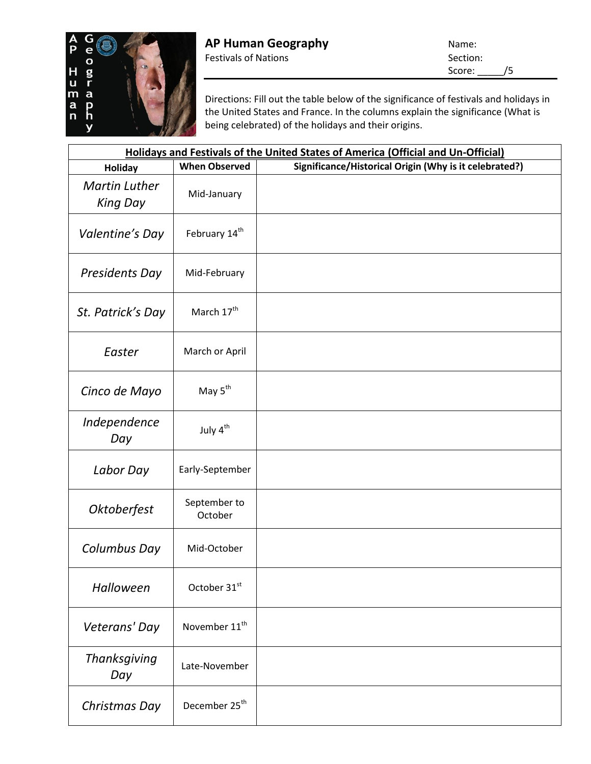

Directions: Fill out the table below of the significance of festivals and holidays in the United States and France. In the columns explain the significance (What is being celebrated) of the holidays and their origins.

| Holidays and Festivals of the United States of America (Official and Un-Official) |                           |                                                        |  |
|-----------------------------------------------------------------------------------|---------------------------|--------------------------------------------------------|--|
| Holiday                                                                           | <b>When Observed</b>      | Significance/Historical Origin (Why is it celebrated?) |  |
| <b>Martin Luther</b><br><b>King Day</b>                                           | Mid-January               |                                                        |  |
| Valentine's Day                                                                   | February 14 <sup>th</sup> |                                                        |  |
| Presidents Day                                                                    | Mid-February              |                                                        |  |
| St. Patrick's Day                                                                 | March 17 <sup>th</sup>    |                                                        |  |
| Easter                                                                            | March or April            |                                                        |  |
| Cinco de Mayo                                                                     | May 5 <sup>th</sup>       |                                                        |  |
| Independence<br>Day                                                               | July 4 <sup>th</sup>      |                                                        |  |
| Labor Day                                                                         | Early-September           |                                                        |  |
| Oktoberfest                                                                       | September to<br>October   |                                                        |  |
| Columbus Day                                                                      | Mid-October               |                                                        |  |
| Halloween                                                                         | October 31st              |                                                        |  |
| Veterans' Day                                                                     | November 11 <sup>th</sup> |                                                        |  |
| <b>Thanksgiving</b><br>Day                                                        | Late-November             |                                                        |  |
| Christmas Day                                                                     | December 25 <sup>th</sup> |                                                        |  |